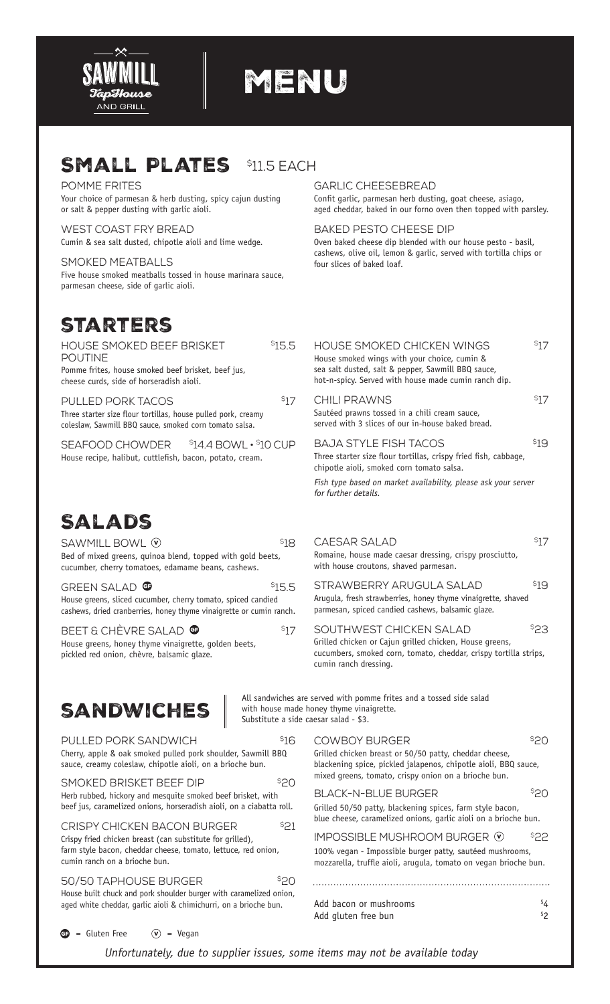

# menu

## SMALL PLATES \$11.5 EACH

Pomme Frites Your choice of parmesan & herb dusting, spicy cajun dusting or salt & pepper dusting with garlic aioli.

West Coast Fry Bread Cumin & sea salt dusted, chipotle aioli and lime wedge.

Smoked Meatballs Five house smoked meatballs tossed in house marinara sauce, parmesan cheese, side of garlic aioli.

### **STARTERS**

| <b>HOUSE SMOKED BEEF BRISKET</b>                                                                                                | 515.5 |
|---------------------------------------------------------------------------------------------------------------------------------|-------|
| <b>POUTINE</b>                                                                                                                  |       |
| Pomme frites, house smoked beef brisket, beef jus,<br>cheese curds, side of horseradish aioli.                                  |       |
| PULLED PORK TACOS<br>المتحدث ويتماس والمتواط والمنافي والمتحدث والمتحدث والأطفين والمستحدث والمتحدث والمستحدث والمتحلة والمتحدث | \$17  |

Three starter size flour tortillas, house pulled pork, creamy coleslaw, Sawmill BBQ sauce, smoked corn tomato salsa.

 $SEAFOOD CHOWDER  $$14.4$  BOWL  $\cdot $10$  CUP$ House recipe, halibut, cuttlefish, bacon, potato, cream.

#### garlic cheesebread

Confit garlic, parmesan herb dusting, goat cheese, asiago, aged cheddar, baked in our forno oven then topped with parsley.

Baked pesto cheese dip Oven baked cheese dip blended with our house pesto - basil, cashews, olive oil, lemon & garlic, served with tortilla chips or four slices of baked loaf.

| HOUSE SMOKED CHICKEN WINGS<br>House smoked wings with your choice, cumin &<br>sea salt dusted, salt & pepper, Sawmill BBQ sauce,<br>hot-n-spicy. Served with house made cumin ranch dip. | S17  |
|------------------------------------------------------------------------------------------------------------------------------------------------------------------------------------------|------|
| CHILL PRAWNS<br>Sautéed prawns tossed in a chili cream sauce,<br>served with 3 slices of our in-house baked bread.                                                                       | S17  |
| <b>BAJA STYLE FISH TACOS</b><br>Three starter size flour tortillas, crispy fried fish, cabbage,<br>chipotle aioli, smoked corn tomato salsa.                                             | 519  |
| Fish type based on market availability, please ask your server<br>for further details.                                                                                                   |      |
| CAFSAR SAI AD<br>Romaine, house made caesar dressing, crispy prosciutto,<br>with house croutons, shaved parmesan.                                                                        | S17  |
| STRAWBERRY ARUGUI A SAI AD<br>Arugula, fresh strawberries, honey thyme vinaigrette, shaved<br>parmesan, spiced candied cashews, balsamic qlaze.                                          | \$19 |
| SOUTHWEST CHICKEN SALAD<br>Grilled chicken or Cajun grilled chicken, House greens,<br>cucumbers smoked corn tomato cheddar crisputortilla strins                                         | \$23 |

## Salads

| SAWMILL BOWL V<br>Bed of mixed greens, quinoa blend, topped with gold beets,<br>cucumber, cherry tomatoes, edamame beans, cashews.                                                                                                                                                                                                                                                                                                                                                                                                                     | \$18                                  | CAESAR SALAD<br>Romaine, house made caesar dressing, crispy prosciutto,<br>with house croutons, shaved parmesan.                                                                                                  | 517              |
|--------------------------------------------------------------------------------------------------------------------------------------------------------------------------------------------------------------------------------------------------------------------------------------------------------------------------------------------------------------------------------------------------------------------------------------------------------------------------------------------------------------------------------------------------------|---------------------------------------|-------------------------------------------------------------------------------------------------------------------------------------------------------------------------------------------------------------------|------------------|
| <b>GREEN SALAD O</b><br>House greens, sliced cucumber, cherry tomato, spiced candied<br>cashews, dried cranberries, honey thyme vinaigrette or cumin ranch.                                                                                                                                                                                                                                                                                                                                                                                            | \$15.5                                | STRAWBERRY ARUGULA SALAD<br>Arugula, fresh strawberries, honey thyme vinaigrette, shaved<br>parmesan, spiced candied cashews, balsamic glaze.                                                                     | \$19             |
| BEET & CHÈVRE SALAD <sup>@</sup><br>House greens, honey thyme vinaigrette, golden beets,<br>pickled red onion, chèvre, balsamic glaze.                                                                                                                                                                                                                                                                                                                                                                                                                 | 517                                   | SOUTHWEST CHICKEN SALAD<br>Grilled chicken or Cajun grilled chicken, House greens,<br>cucumbers, smoked corn, tomato, cheddar, crispy tortilla strips,<br>cumin ranch dressing.                                   | \$23             |
| <b>SANDWICHES</b>                                                                                                                                                                                                                                                                                                                                                                                                                                                                                                                                      | Substitute a side caesar salad - \$3. | All sandwiches are served with pomme frites and a tossed side salad<br>with house made honey thyme vinaigrette.                                                                                                   |                  |
| PULLED PORK SANDWICH<br>\$16<br>Cherry, apple & oak smoked pulled pork shoulder, Sawmill BBQ<br>sauce, creamy coleslaw, chipotle aioli, on a brioche bun.<br><b>S20</b><br>SMOKED BRISKET BEEF DIP<br>Herb rubbed, hickory and mesquite smoked beef brisket, with<br>beef jus, caramelized onions, horseradish aioli, on a ciabatta roll.<br>\$21<br><b>CRISPY CHICKEN BACON BURGER</b><br>Crispy fried chicken breast (can substitute for grilled),<br>farm style bacon, cheddar cheese, tomato, lettuce, red onion,<br>cumin ranch on a brioche bun. |                                       | \$20<br><b>COWBOY BURGER</b><br>Grilled chicken breast or 50/50 patty, cheddar cheese,<br>blackening spice, pickled jalapenos, chipotle aioli, BBQ sauce,<br>mixed greens, tomato, crispy onion on a brioche bun. |                  |
|                                                                                                                                                                                                                                                                                                                                                                                                                                                                                                                                                        |                                       | <b>BLACK-N-BLUE BURGER</b><br>Grilled 50/50 patty, blackening spices, farm style bacon,<br>blue cheese, caramelized onions, garlic aioli on a brioche bun.                                                        | \$20             |
|                                                                                                                                                                                                                                                                                                                                                                                                                                                                                                                                                        |                                       | IMPOSSIBLE MUSHROOM BURGER (V)<br>\$22<br>100% vegan - Impossible burger patty, sautéed mushrooms,<br>mozzarella, truffle aioli, arugula, tomato on vegan brioche bun.                                            |                  |
| 50/50 TAPHOUSE BURGER<br>House built chuck and pork shoulder burger with caramelized onion,<br>aged white cheddar, garlic aioli & chimichurri, on a brioche bun.                                                                                                                                                                                                                                                                                                                                                                                       | <sup>\$</sup> 20                      | Add bacon or mushrooms<br>Add gluten free bun                                                                                                                                                                     | \$4<br>${}^{52}$ |

 $\bullet$  = Gluten Free  $\circledcirc$  = Vegan

Unfortunately, due to supplier issues, some items may not be available today